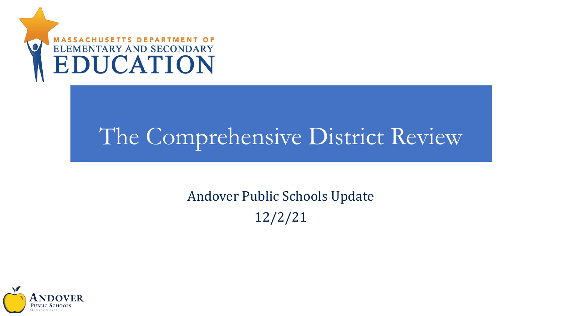

# The Comprehensive District Review

### Andover Public Schools Update 12/2/21

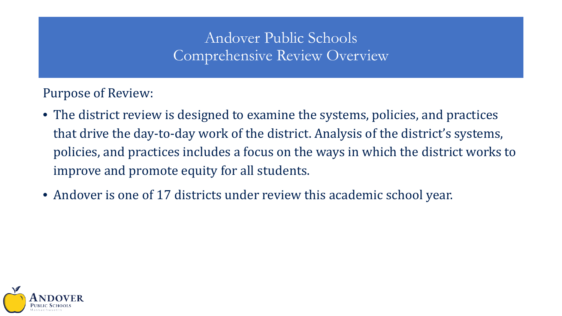#### Andover Public Schools Comprehensive Review Overview

Purpose of Review:

- The district review is designed to examine the systems, policies, and practices that drive the day-to-day work of the district. Analysis of the district's systems, policies, and practices includes a focus on the ways in which the district works to improve and promote equity for all students.
- Andover is one of 17 districts under review this academic school year.

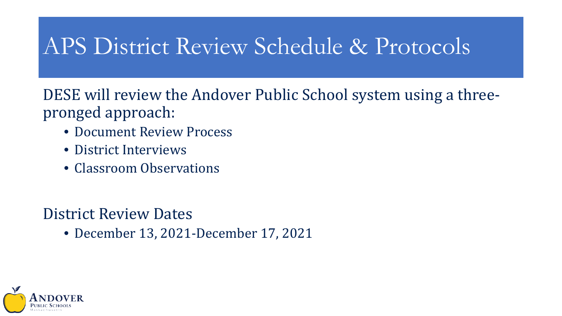## APS District Review Schedule & Protocols

DESE will review the Andover Public School system using a threepronged approach:

- Document Review Process
- District Interviews
- Classroom Observations

#### District Review Dates

• December 13, 2021-December 17, 2021

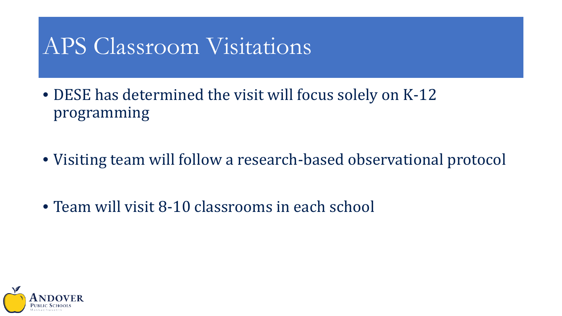## APS Classroom Visitations

• DESE has determined the visit will focus solely on K-12 programming

- Visiting team will follow a research-based observational protocol
- Team will visit 8-10 classrooms in each school

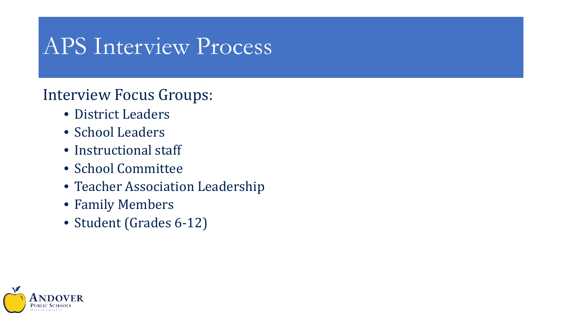### APS Interview Process

### Interview Focus Groups:

- District Leaders
- School Leaders
- Instructional staff
- School Committee
- Teacher Association Leadership
- Family Members
- Student (Grades 6-12)